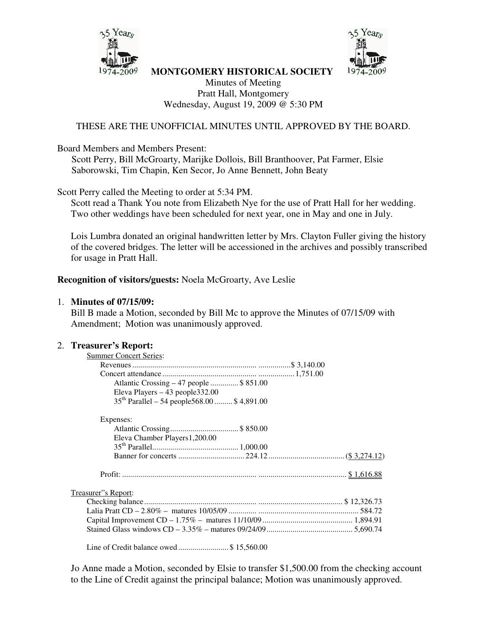



**MONTGOMERY HISTORICAL SOCIETY**

Minutes of Meeting Pratt Hall, Montgomery Wednesday, August 19, 2009 @ 5:30 PM

### THESE ARE THE UNOFFICIAL MINUTES UNTIL APPROVED BY THE BOARD.

#### Board Members and Members Present:

Scott Perry, Bill McGroarty, Marijke Dollois, Bill Branthoover, Pat Farmer, Elsie Saborowski, Tim Chapin, Ken Secor, Jo Anne Bennett, John Beaty

Scott Perry called the Meeting to order at 5:34 PM.

Scott read a Thank You note from Elizabeth Nye for the use of Pratt Hall for her wedding. Two other weddings have been scheduled for next year, one in May and one in July.

Lois Lumbra donated an original handwritten letter by Mrs. Clayton Fuller giving the history of the covered bridges. The letter will be accessioned in the archives and possibly transcribed for usage in Pratt Hall.

#### **Recognition of visitors/guests:** Noela McGroarty, Ave Leslie

#### 1. **Minutes of 07/15/09:**

Bill B made a Motion, seconded by Bill Mc to approve the Minutes of 07/15/09 with Amendment; Motion was unanimously approved.

#### 2. **Treasurer's Report:**

| <b>Summer Concert Series:</b>                    |  |
|--------------------------------------------------|--|
|                                                  |  |
|                                                  |  |
| Atlantic Crossing – 47 people \$ 851.00          |  |
| Eleva Players $-43$ people 332.00                |  |
| $35^{th}$ Parallel – 54 people568.00  \$4,891.00 |  |
| Expenses:                                        |  |
|                                                  |  |
| Eleva Chamber Players1,200.00                    |  |
|                                                  |  |
|                                                  |  |
|                                                  |  |
| Treasurer"s Report:                              |  |
|                                                  |  |
|                                                  |  |
|                                                  |  |
|                                                  |  |

Line of Credit balance owed ......................... \$ 15,560.00

Jo Anne made a Motion, seconded by Elsie to transfer \$1,500.00 from the checking account to the Line of Credit against the principal balance; Motion was unanimously approved.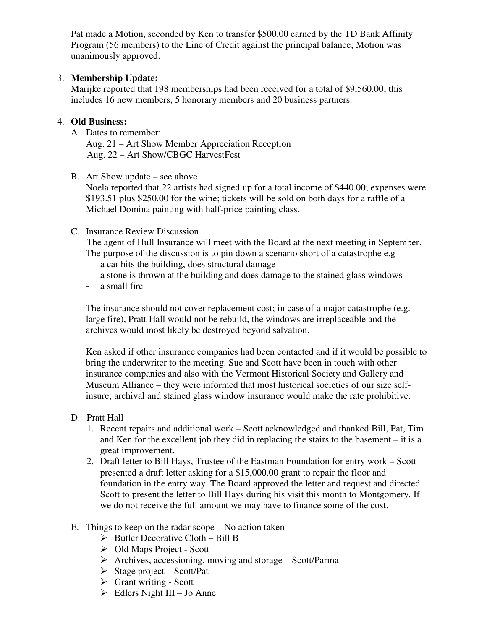Pat made a Motion, seconded by Ken to transfer \$500.00 earned by the TD Bank Affinity Program (56 members) to the Line of Credit against the principal balance; Motion was unanimously approved.

### 3. **Membership Update:**

Marijke reported that 198 memberships had been received for a total of \$9,560.00; this includes 16 new members, 5 honorary members and 20 business partners.

### 4. **Old Business:**

A. Dates to remember:

Aug. 21 – Art Show Member Appreciation Reception Aug. 22 – Art Show/CBGC HarvestFest

B. Art Show update – see above

Noela reported that 22 artists had signed up for a total income of \$440.00; expenses were \$193.51 plus \$250.00 for the wine; tickets will be sold on both days for a raffle of a Michael Domina painting with half-price painting class.

## C. Insurance Review Discussion

The agent of Hull Insurance will meet with the Board at the next meeting in September. The purpose of the discussion is to pin down a scenario short of a catastrophe e.g

- a car hits the building, does structural damage
- a stone is thrown at the building and does damage to the stained glass windows
- a small fire

The insurance should not cover replacement cost; in case of a major catastrophe (e.g. large fire), Pratt Hall would not be rebuild, the windows are irreplaceable and the archives would most likely be destroyed beyond salvation.

Ken asked if other insurance companies had been contacted and if it would be possible to bring the underwriter to the meeting. Sue and Scott have been in touch with other insurance companies and also with the Vermont Historical Society and Gallery and Museum Alliance – they were informed that most historical societies of our size selfinsure; archival and stained glass window insurance would make the rate prohibitive.

# D. Pratt Hall

- 1. Recent repairs and additional work Scott acknowledged and thanked Bill, Pat, Tim and Ken for the excellent job they did in replacing the stairs to the basement – it is a great improvement.
- 2. Draft letter to Bill Hays, Trustee of the Eastman Foundation for entry work Scott presented a draft letter asking for a \$15,000.00 grant to repair the floor and foundation in the entry way. The Board approved the letter and request and directed Scott to present the letter to Bill Hays during his visit this month to Montgomery. If we do not receive the full amount we may have to finance some of the cost.
- E. Things to keep on the radar scope No action taken
	- $\triangleright$  Butler Decorative Cloth Bill B
	- Old Maps Project Scott
	- $\triangleright$  Archives, accessioning, moving and storage Scott/Parma
	- $\triangleright$  Stage project Scott/Pat
	- $\triangleright$  Grant writing Scott
	- $\triangleright$  Edlers Night III Jo Anne